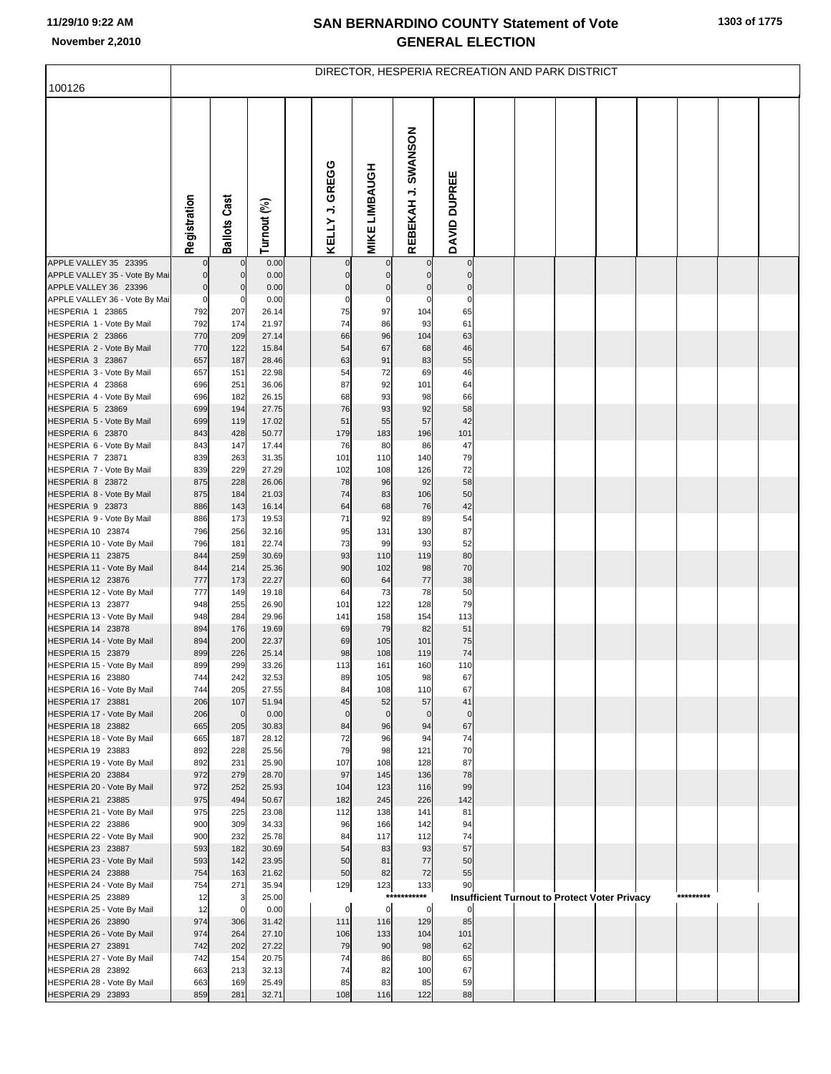## **SAN BERNARDINO COUNTY Statement of Vote November 2,2010 GENERAL ELECTION**

| 100126                                                 | DIRECTOR, HESPERIA RECREATION AND PARK DISTRICT |                     |                |  |                            |                             |                         |                            |  |  |                                                      |  |           |  |
|--------------------------------------------------------|-------------------------------------------------|---------------------|----------------|--|----------------------------|-----------------------------|-------------------------|----------------------------|--|--|------------------------------------------------------|--|-----------|--|
|                                                        |                                                 |                     |                |  |                            |                             |                         |                            |  |  |                                                      |  |           |  |
|                                                        | Registration                                    | <b>Ballots Cast</b> | Turnout (%)    |  | GREGG<br>KELLY J.          | <b>MIKE LIMBAUGH</b>        | REBEKAH J. SWANSON      | DAVID DUPREE               |  |  |                                                      |  |           |  |
| APPLE VALLEY 35 23395                                  |                                                 | $\mathbf{0}$        | 0.00           |  | $\mathbf 0$                |                             | $\overline{0}$          | $\overline{0}$             |  |  |                                                      |  |           |  |
| APPLE VALLEY 35 - Vote By Mai<br>APPLE VALLEY 36 23396 | $\mathbf 0$                                     | $\mathbf{0}$<br>0   | 0.00<br>0.00   |  | $\mathbf 0$<br>$\mathbf 0$ | $\mathbf{0}$<br>$\mathbf 0$ | $\Omega$<br>$\mathbf 0$ | $\mathbf 0$<br>$\mathbf 0$ |  |  |                                                      |  |           |  |
| APPLE VALLEY 36 - Vote By Mai                          | $\pmb{0}$<br>$\pmb{0}$                          | 0                   | 0.00           |  | $\mathbf 0$                | 0                           | 0                       | $\mathbf 0$                |  |  |                                                      |  |           |  |
| HESPERIA 1 23865                                       | 792                                             | 207                 | 26.14          |  | 75                         | 97                          | 104                     | 65                         |  |  |                                                      |  |           |  |
| HESPERIA 1 - Vote By Mail                              | 792                                             | 174                 | 21.97          |  | 74                         | 86                          | 93                      | 61                         |  |  |                                                      |  |           |  |
| HESPERIA 2 23866                                       | 770                                             | 209                 | 27.14          |  | 66                         | 96                          | 104                     | 63                         |  |  |                                                      |  |           |  |
| HESPERIA 2 - Vote By Mail                              | 770                                             | 122                 | 15.84          |  | 54                         | 67                          | 68                      | 46                         |  |  |                                                      |  |           |  |
| HESPERIA 3 23867                                       | 657                                             | 187                 | 28.46          |  | 63                         | 91                          | 83                      | 55                         |  |  |                                                      |  |           |  |
| HESPERIA 3 - Vote By Mail<br>HESPERIA 4 23868          | 657<br>696                                      | 151<br>251          | 22.98<br>36.06 |  | 54<br>87                   | 72<br>92                    | 69<br>101               | 46<br>64                   |  |  |                                                      |  |           |  |
| HESPERIA 4 - Vote By Mail                              | 696                                             | 182                 | 26.15          |  | 68                         | 93                          | 98                      | 66                         |  |  |                                                      |  |           |  |
| HESPERIA 5 23869                                       | 699                                             | 194                 | 27.75          |  | 76                         | 93                          | 92                      | 58                         |  |  |                                                      |  |           |  |
| HESPERIA 5 - Vote By Mail                              | 699                                             | 119                 | 17.02          |  | 51                         | 55                          | 57                      | 42                         |  |  |                                                      |  |           |  |
| HESPERIA 6 23870                                       | 843                                             | 428                 | 50.77          |  | 179                        | 183                         | 196                     | 101                        |  |  |                                                      |  |           |  |
| HESPERIA 6 - Vote By Mail                              | 843                                             | 147                 | 17.44          |  | 76<br>101                  | 80                          | 86                      | 47                         |  |  |                                                      |  |           |  |
| HESPERIA 7 23871<br>HESPERIA 7 - Vote By Mail          | 839<br>839                                      | 263<br>229          | 31.35<br>27.29 |  | 102                        | 110<br>108                  | 140<br>126              | 79<br>72                   |  |  |                                                      |  |           |  |
| HESPERIA 8 23872                                       | 875                                             | 228                 | 26.06          |  | 78                         | 96                          | 92                      | 58                         |  |  |                                                      |  |           |  |
| HESPERIA 8 - Vote By Mail                              | 875                                             | 184                 | 21.03          |  | 74                         | 83                          | 106                     | 50                         |  |  |                                                      |  |           |  |
| HESPERIA 9 23873                                       | 886                                             | 143                 | 16.14          |  | 64                         | 68                          | 76                      | 42                         |  |  |                                                      |  |           |  |
| HESPERIA 9 - Vote By Mail                              | 886                                             | 173                 | 19.53          |  | 71                         | 92                          | 89                      | 54                         |  |  |                                                      |  |           |  |
| HESPERIA 10 23874<br>HESPERIA 10 - Vote By Mail        | 796<br>796                                      | 256<br>181          | 32.16<br>22.74 |  | 95<br>73                   | 131<br>99                   | 130<br>93               | 87<br>52                   |  |  |                                                      |  |           |  |
| HESPERIA 11 23875                                      | 844                                             | 259                 | 30.69          |  | 93                         | 110                         | 119                     | 80                         |  |  |                                                      |  |           |  |
| HESPERIA 11 - Vote By Mail                             | 844                                             | 214                 | 25.36          |  | 90                         | 102                         | 98                      | 70                         |  |  |                                                      |  |           |  |
| HESPERIA 12 23876                                      | 777                                             | 173                 | 22.27          |  | 60                         | 64                          | $77 \,$                 | 38                         |  |  |                                                      |  |           |  |
| HESPERIA 12 - Vote By Mail                             | 777                                             | 149                 | 19.18          |  | 64                         | 73                          | 78                      | 50                         |  |  |                                                      |  |           |  |
| HESPERIA 13 23877                                      | 948                                             | 255                 | 26.90          |  | 101                        | 122                         | 128                     | 79                         |  |  |                                                      |  |           |  |
| HESPERIA 13 - Vote By Mail<br>HESPERIA 14 23878        | 948<br>894                                      | 284<br>176          | 29.96<br>19.69 |  | 141<br>69                  | 158<br>79                   | 154<br>82               | 113<br>51                  |  |  |                                                      |  |           |  |
| HESPERIA 14 - Vote By Mail                             | 894                                             | 200                 | 22.37          |  | 69                         | 105                         | 101                     | 75                         |  |  |                                                      |  |           |  |
| HESPERIA 15 23879                                      | 899                                             | 226                 | 25.14          |  | 98                         | 108                         | 119                     | 74                         |  |  |                                                      |  |           |  |
| HESPERIA 15 - Vote By Mail                             | 899                                             | 299                 | 33.26          |  | 113                        | 161                         | 160                     | 110                        |  |  |                                                      |  |           |  |
| HESPERIA 16 23880                                      | 744                                             | 242                 | 32.53          |  | 89                         | 105                         | 98                      | 67                         |  |  |                                                      |  |           |  |
| HESPERIA 16 - Vote By Mail<br>HESPERIA 17 23881        | 744<br>206                                      | 205<br>107          | 27.55<br>51.94 |  | 84<br>45                   | 108<br>52                   | 110<br>57               | 67<br>41                   |  |  |                                                      |  |           |  |
| HESPERIA 17 - Vote By Mail                             | 206                                             | $\mathbf 0$         | 0.00           |  | $\mathbf 0$                | $\mathbf 0$                 | $\Omega$                | $\mathbf 0$                |  |  |                                                      |  |           |  |
| HESPERIA 18 23882                                      | 665                                             | 205                 | 30.83          |  | 84                         | 96                          | 94                      | 67                         |  |  |                                                      |  |           |  |
| HESPERIA 18 - Vote By Mail                             | 665                                             | 187                 | 28.12          |  | 72                         | 96                          | 94                      | 74                         |  |  |                                                      |  |           |  |
| HESPERIA 19 23883                                      | 892                                             | 228                 | 25.56          |  | 79                         | 98                          | 121                     | 70                         |  |  |                                                      |  |           |  |
| HESPERIA 19 - Vote By Mail<br>HESPERIA 20 23884        | 892<br>972                                      | 231<br>279          | 25.90<br>28.70 |  | 107<br>97                  | 108<br>145                  | 128<br>136              | 87<br>78                   |  |  |                                                      |  |           |  |
| HESPERIA 20 - Vote By Mail                             | 972                                             | 252                 | 25.93          |  | 104                        | 123                         | 116                     | 99                         |  |  |                                                      |  |           |  |
| HESPERIA 21 23885                                      | 975                                             | 494                 | 50.67          |  | 182                        | 245                         | 226                     | 142                        |  |  |                                                      |  |           |  |
| HESPERIA 21 - Vote By Mail                             | 975                                             | 225                 | 23.08          |  | 112                        | 138                         | 141                     | 81                         |  |  |                                                      |  |           |  |
| HESPERIA 22 23886                                      | 900                                             | 309                 | 34.33          |  | 96                         | 166                         | 142                     | 94                         |  |  |                                                      |  |           |  |
| HESPERIA 22 - Vote By Mail<br>HESPERIA 23 23887        | 900                                             | 232                 | 25.78          |  | 84                         | 117                         | 112                     | 74                         |  |  |                                                      |  |           |  |
| HESPERIA 23 - Vote By Mail                             | 593<br>593                                      | 182<br>142          | 30.69<br>23.95 |  | 54<br>50                   | 83<br>81                    | 93<br>77                | 57<br>50                   |  |  |                                                      |  |           |  |
| HESPERIA 24 23888                                      | 754                                             | 163                 | 21.62          |  | 50                         | 82                          | 72                      | 55                         |  |  |                                                      |  |           |  |
| HESPERIA 24 - Vote By Mail                             | 754                                             | 271                 | 35.94          |  | 129                        | 123                         | 133                     | 90                         |  |  |                                                      |  |           |  |
| HESPERIA 25 23889                                      | 12                                              | 3                   | 25.00          |  |                            | ***                         | ***                     |                            |  |  | <b>Insufficient Turnout to Protect Voter Privacy</b> |  | ********* |  |
| HESPERIA 25 - Vote By Mail                             | 12                                              | $\Omega$            | 0.00           |  | $\mathbf 0$                | $\mathbf 0$                 | $\mathbf 0$             |                            |  |  |                                                      |  |           |  |
| HESPERIA 26 23890<br>HESPERIA 26 - Vote By Mail        | 974<br>974                                      | 306<br>264          | 31.42<br>27.10 |  | 111<br>106                 | 116<br>133                  | 129<br>104              | 85<br>101                  |  |  |                                                      |  |           |  |
| HESPERIA 27 23891                                      | 742                                             | 202                 | 27.22          |  | 79                         | 90                          | 98                      | 62                         |  |  |                                                      |  |           |  |
| HESPERIA 27 - Vote By Mail                             | 742                                             | 154                 | 20.75          |  | 74                         | 86                          | 80                      | 65                         |  |  |                                                      |  |           |  |
| HESPERIA 28 23892                                      | 663                                             | 213                 | 32.13          |  | 74                         | 82                          | 100                     | 67                         |  |  |                                                      |  |           |  |
| HESPERIA 28 - Vote By Mail                             | 663                                             | 169                 | 25.49          |  | 85                         | 83                          | 85                      | 59                         |  |  |                                                      |  |           |  |
| HESPERIA 29 23893                                      | 859                                             | 281                 | 32.71          |  | 108                        | 116                         | 122                     | 88                         |  |  |                                                      |  |           |  |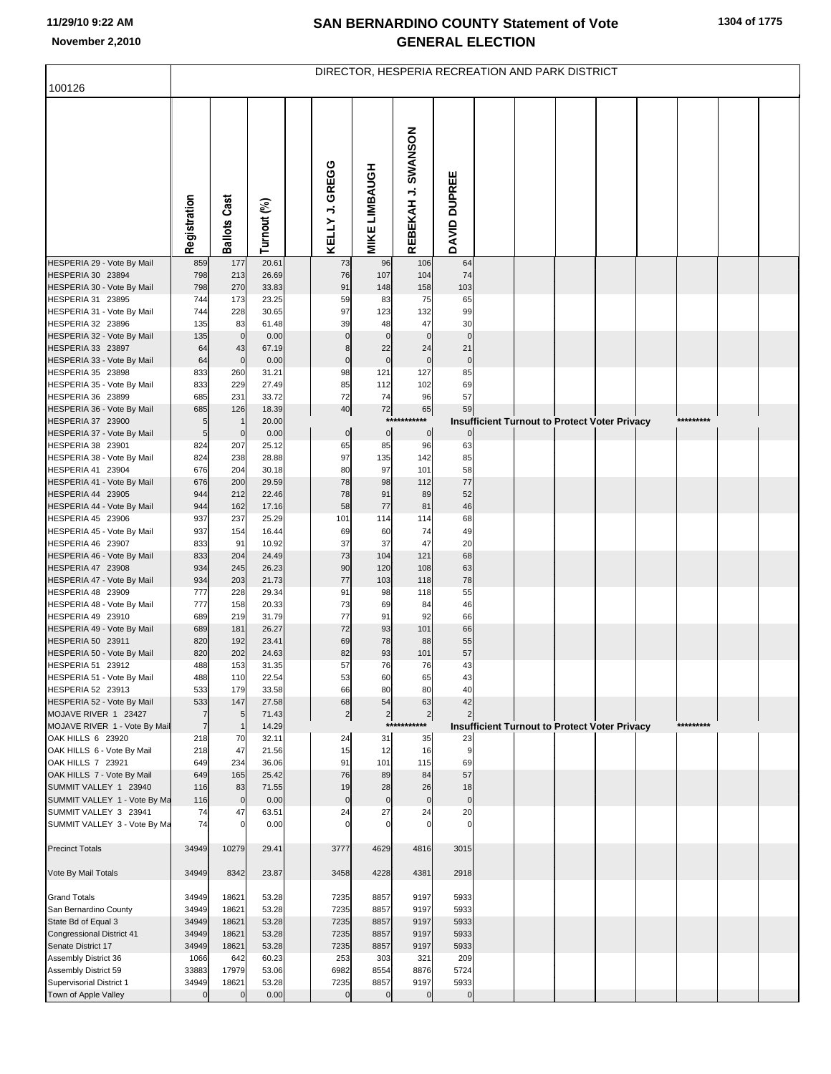## **SAN BERNARDINO COUNTY Statement of Vote November 2,2010 GENERAL ELECTION**

| 100126                                             | DIRECTOR, HESPERIA RECREATION AND PARK DISTRICT |                     |                |  |                    |                      |                      |                   |                                               |  |  |  |           |  |
|----------------------------------------------------|-------------------------------------------------|---------------------|----------------|--|--------------------|----------------------|----------------------|-------------------|-----------------------------------------------|--|--|--|-----------|--|
|                                                    |                                                 |                     |                |  |                    |                      |                      |                   |                                               |  |  |  |           |  |
|                                                    | Registration                                    | <b>Ballots Cast</b> | Turnout (%)    |  | KELLY J. GREGG     | <b>MIKE LIMBAUGH</b> | REBEKAH J. SWANSON   | DAVID DUPREE      |                                               |  |  |  |           |  |
| HESPERIA 29 - Vote By Mail                         | 859                                             | 177                 | 20.61          |  | 73                 | 96                   | 106                  | 64                |                                               |  |  |  |           |  |
| HESPERIA 30 23894<br>HESPERIA 30 - Vote By Mail    | 798<br>798                                      | 213<br>270          | 26.69<br>33.83 |  | 76<br>91           | 107<br>148           | 104<br>158           | 74<br>103         |                                               |  |  |  |           |  |
| HESPERIA 31 23895                                  | 744                                             | 173                 | 23.25          |  | 59                 | 83                   | 75                   | 65                |                                               |  |  |  |           |  |
| HESPERIA 31 - Vote By Mail                         | 744                                             | 228                 | 30.65          |  | 97                 | 123                  | 132                  | 99                |                                               |  |  |  |           |  |
| HESPERIA 32 23896                                  | 135                                             | 83                  | 61.48          |  | 39                 | 48                   | 47                   | 30                |                                               |  |  |  |           |  |
| HESPERIA 32 - Vote By Mail<br>HESPERIA 33 23897    | 135<br>64                                       | $\mathbf 0$<br>43   | 0.00<br>67.19  |  | $\mathbf 0$<br>8   | $\mathbf 0$<br>22    | $\mathbf 0$<br>24    | $\mathbf 0$<br>21 |                                               |  |  |  |           |  |
| HESPERIA 33 - Vote By Mail                         | 64                                              | $\mathbf 0$         | 0.00           |  | $\pmb{0}$          | $\mathbf 0$          | $\mathbf 0$          | $\pmb{0}$         |                                               |  |  |  |           |  |
| HESPERIA 35 23898                                  | 833                                             | 260                 | 31.21          |  | 98                 | 121                  | 127                  | 85                |                                               |  |  |  |           |  |
| HESPERIA 35 - Vote By Mail                         | 833                                             | 229                 | 27.49          |  | 85                 | 112                  | 102                  | 69                |                                               |  |  |  |           |  |
| HESPERIA 36 23899                                  | 685                                             | 231                 | 33.72          |  | 72                 | 74                   | 96                   | 57                |                                               |  |  |  |           |  |
| HESPERIA 36 - Vote By Mail<br>HESPERIA 37 23900    | 685<br>5                                        | 126<br>-1           | 18.39<br>20.00 |  | 40                 | 72<br>$***$          | 65<br>***            | 59                |                                               |  |  |  | ********* |  |
| HESPERIA 37 - Vote By Mail                         | 5                                               | $\mathbf 0$         | 0.00           |  | $\overline{0}$     | $\pmb{0}$            | $\overline{0}$       | 0                 | Insufficient Turnout to Protect Voter Privacy |  |  |  |           |  |
| HESPERIA 38 23901                                  | 824                                             | 207                 | 25.12          |  | 65                 | 85                   | 96                   | 63                |                                               |  |  |  |           |  |
| HESPERIA 38 - Vote By Mail                         | 824                                             | 238                 | 28.88          |  | 97                 | 135                  | 142                  | 85                |                                               |  |  |  |           |  |
| HESPERIA 41 23904                                  | 676                                             | 204                 | 30.18          |  | 80                 | 97                   | 101                  | 58                |                                               |  |  |  |           |  |
| HESPERIA 41 - Vote By Mail                         | 676                                             | 200                 | 29.59          |  | 78                 | 98                   | 112                  | 77                |                                               |  |  |  |           |  |
| HESPERIA 44 23905<br>HESPERIA 44 - Vote By Mail    | 944<br>944                                      | 212<br>162          | 22.46<br>17.16 |  | 78<br>58           | 91<br>77             | 89<br>81             | 52<br>46          |                                               |  |  |  |           |  |
| HESPERIA 45 23906                                  | 937                                             | 237                 | 25.29          |  | 101                | 114                  | 114                  | 68                |                                               |  |  |  |           |  |
| HESPERIA 45 - Vote By Mail                         | 937                                             | 154                 | 16.44          |  | 69                 | 60                   | 74                   | 49                |                                               |  |  |  |           |  |
| HESPERIA 46 23907                                  | 833                                             | 91                  | 10.92          |  | 37                 | 37                   | 47                   | 20                |                                               |  |  |  |           |  |
| HESPERIA 46 - Vote By Mail<br>HESPERIA 47 23908    | 833<br>934                                      | 204<br>245          | 24.49<br>26.23 |  | 73<br>90           | 104<br>120           | 121<br>108           | 68<br>63          |                                               |  |  |  |           |  |
| HESPERIA 47 - Vote By Mail                         | 934                                             | 203                 | 21.73          |  | 77                 | 103                  | 118                  | 78                |                                               |  |  |  |           |  |
| HESPERIA 48 23909                                  | 777                                             | 228                 | 29.34          |  | 91                 | 98                   | 118                  | 55                |                                               |  |  |  |           |  |
| HESPERIA 48 - Vote By Mail                         | 777                                             | 158                 | 20.33          |  | 73                 | 69                   | 84                   | 46                |                                               |  |  |  |           |  |
| HESPERIA 49 23910                                  | 689                                             | 219                 | 31.79          |  | 77                 | 91                   | 92                   | 66                |                                               |  |  |  |           |  |
| HESPERIA 49 - Vote By Mail<br>HESPERIA 50 23911    | 689<br>820                                      | 181<br>192          | 26.27<br>23.41 |  | 72<br>69           | 93<br>78             | 101<br>88            | 66<br>55          |                                               |  |  |  |           |  |
| HESPERIA 50 - Vote By Mail                         | 820                                             | 202                 | 24.63          |  | 82                 | 93                   | 101                  | 57                |                                               |  |  |  |           |  |
| HESPERIA 51 23912                                  | 488                                             | 153                 | 31.35          |  | 57                 | 76                   | 76                   | 43                |                                               |  |  |  |           |  |
| HESPERIA 51 - Vote By Mail                         | 488                                             | 110                 | 22.54          |  | 53                 | 60                   | 65                   | 43                |                                               |  |  |  |           |  |
| HESPERIA 52 23913                                  | 533                                             | 179                 | 33.58          |  | 66                 | 80                   | 80                   | 40                |                                               |  |  |  |           |  |
| HESPERIA 52 - Vote By Mail<br>MOJAVE RIVER 1 23427 | 533<br>$\overline{7}$                           | 147<br>5            | 27.58<br>71.43 |  | 68<br>$\mathbf{2}$ | 54<br>$\overline{c}$ | 63<br>$\overline{2}$ | 42                |                                               |  |  |  |           |  |
| MOJAVE RIVER 1 - Vote By Mail                      | $\overline{7}$                                  | $\mathbf{1}$        | 14.29          |  |                    | ***                  | ******               |                   | Insufficient Turnout to Protect Voter Privacy |  |  |  | ********* |  |
| OAK HILLS 6 23920                                  | 218                                             | 70                  | 32.11          |  | 24                 | 31                   | 35                   | 23                |                                               |  |  |  |           |  |
| OAK HILLS 6 - Vote By Mail                         | 218                                             | 47                  | 21.56          |  | 15                 | 12                   | 16                   | 9                 |                                               |  |  |  |           |  |
| OAK HILLS 7 23921<br>OAK HILLS 7 - Vote By Mail    | 649                                             | 234                 | 36.06          |  | 91<br>76           | 101                  | 115                  | 69<br>57          |                                               |  |  |  |           |  |
| SUMMIT VALLEY 1 23940                              | 649<br>116                                      | 165<br>83           | 25.42<br>71.55 |  | 19                 | 89<br>28             | 84<br>26             | 18                |                                               |  |  |  |           |  |
| SUMMIT VALLEY 1 - Vote By Ma                       | 116                                             | $\mathbf 0$         | 0.00           |  | $\mathbf 0$        | $\mathbf 0$          | $\mathbf 0$          | $\mathbf 0$       |                                               |  |  |  |           |  |
| SUMMIT VALLEY 3 23941                              | 74                                              | 47                  | 63.51          |  | 24                 | 27                   | 24                   | 20                |                                               |  |  |  |           |  |
| SUMMIT VALLEY 3 - Vote By Ma                       | 74                                              | $\Omega$            | 0.00           |  | $\mathbf 0$        | $\Omega$             | $\Omega$             | $\Omega$          |                                               |  |  |  |           |  |
| <b>Precinct Totals</b>                             | 34949                                           | 10279               | 29.41          |  | 3777               | 4629                 | 4816                 | 3015              |                                               |  |  |  |           |  |
| Vote By Mail Totals                                | 34949                                           | 8342                | 23.87          |  | 3458               | 4228                 | 4381                 | 2918              |                                               |  |  |  |           |  |
| <b>Grand Totals</b>                                | 34949                                           | 18621               | 53.28          |  | 7235               | 8857                 | 9197                 | 5933              |                                               |  |  |  |           |  |
| San Bernardino County                              | 34949                                           | 18621               | 53.28          |  | 7235               | 8857                 | 9197                 | 5933              |                                               |  |  |  |           |  |
| State Bd of Equal 3                                | 34949                                           | 18621               | 53.28          |  | 7235               | 8857                 | 9197                 | 5933              |                                               |  |  |  |           |  |
| Congressional District 41<br>Senate District 17    | 34949<br>34949                                  | 18621<br>18621      | 53.28<br>53.28 |  | 7235<br>7235       | 8857<br>8857         | 9197<br>9197         | 5933<br>5933      |                                               |  |  |  |           |  |
| Assembly District 36                               | 1066                                            | 642                 | 60.23          |  | 253                | 303                  | 321                  | 209               |                                               |  |  |  |           |  |
| Assembly District 59                               | 33883                                           | 17979               | 53.06          |  | 6982               | 8554                 | 8876                 | 5724              |                                               |  |  |  |           |  |
| Supervisorial District 1                           | 34949                                           | 18621               | 53.28          |  | 7235               | 8857                 | 9197                 | 5933              |                                               |  |  |  |           |  |
| Town of Apple Valley                               | $\overline{0}$                                  | $\mathbf 0$         | 0.00           |  | $\overline{0}$     | $\mathbf 0$          | $\Omega$             | $\mathbf 0$       |                                               |  |  |  |           |  |